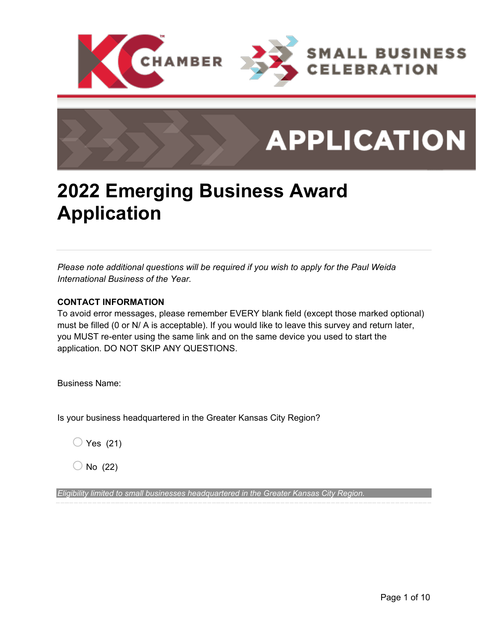

# **APPLICATION**

## **2022 Emerging Business Award Application**

*Please note additional questions will be required if you wish to apply for the Paul Weida International Business of the Year.*

### **CONTACT INFORMATION**

To avoid error messages, please remember EVERY blank field (except those marked optional) must be filled (0 or N/ A is acceptable). If you would like to leave this survey and return later, you MUST re-enter using the same link and on the same device you used to start the application. DO NOT SKIP ANY QUESTIONS.

Business Name:

Is your business headquartered in the Greater Kansas City Region?

 $\bigcirc$  Yes (21)

 $\bigcirc$  No (22)

*Eligibility limited to small businesses headquartered in the Greater Kansas City Region.*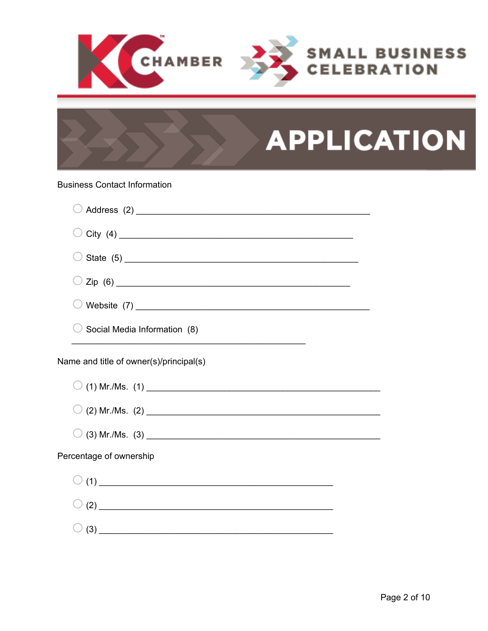

# **APPLICATION**

#### **Business Contact Information**

| $\mathsf{Zip}\  \, (6)$                 |  |
|-----------------------------------------|--|
|                                         |  |
| Social Media Information (8)            |  |
| Name and title of owner(s)/principal(s) |  |
|                                         |  |
|                                         |  |
|                                         |  |
| Percentage of ownership                 |  |
|                                         |  |
|                                         |  |
|                                         |  |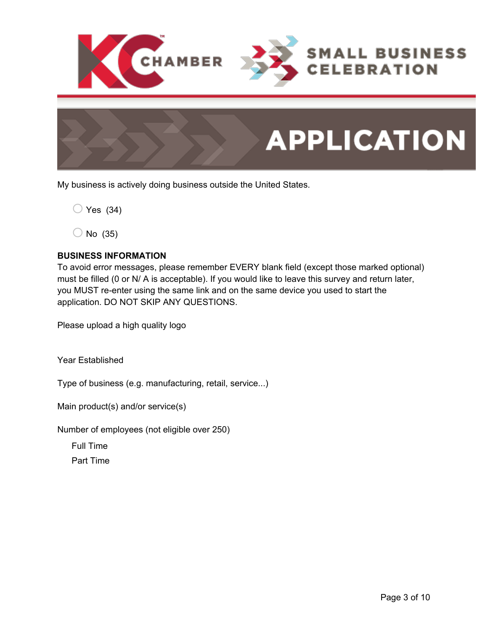



My business is actively doing business outside the United States.

 $\bigcirc$  Yes (34)

 $\bigcirc$  No (35)

#### **BUSINESS INFORMATION**

To avoid error messages, please remember EVERY blank field (except those marked optional) must be filled (0 or N/ A is acceptable). If you would like to leave this survey and return later, you MUST re-enter using the same link and on the same device you used to start the application. DO NOT SKIP ANY QUESTIONS.

Please upload a high quality logo

Year Established

Type of business (e.g. manufacturing, retail, service...)

Main product(s) and/or service(s)

Number of employees (not eligible over 250)

Full Time

Part Time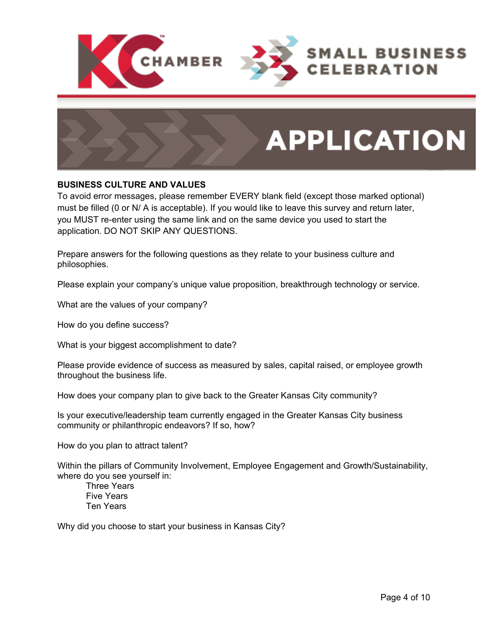



#### **BUSINESS CULTURE AND VALUES**

To avoid error messages, please remember EVERY blank field (except those marked optional) must be filled (0 or N/ A is acceptable). If you would like to leave this survey and return later, you MUST re-enter using the same link and on the same device you used to start the application. DO NOT SKIP ANY QUESTIONS.

Prepare answers for the following questions as they relate to your business culture and philosophies.

Please explain your company's unique value proposition, breakthrough technology or service.

What are the values of your company?

How do you define success?

What is your biggest accomplishment to date?

Please provide evidence of success as measured by sales, capital raised, or employee growth throughout the business life.

How does your company plan to give back to the Greater Kansas City community?

Is your executive/leadership team currently engaged in the Greater Kansas City business community or philanthropic endeavors? If so, how?

How do you plan to attract talent?

Within the pillars of Community Involvement, Employee Engagement and Growth/Sustainability, where do you see yourself in:

Three Years Five Years Ten Years

Why did you choose to start your business in Kansas City?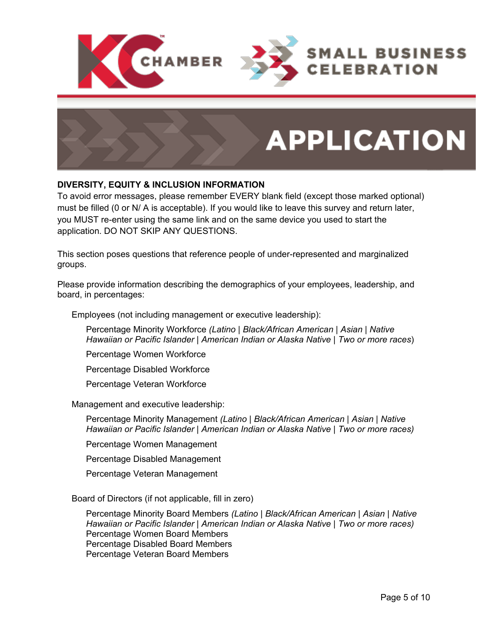



### **DIVERSITY, EQUITY & INCLUSION INFORMATION**

To avoid error messages, please remember EVERY blank field (except those marked optional) must be filled (0 or N/ A is acceptable). If you would like to leave this survey and return later, you MUST re-enter using the same link and on the same device you used to start the application. DO NOT SKIP ANY QUESTIONS.

This section poses questions that reference people of under-represented and marginalized groups.

Please provide information describing the demographics of your employees, leadership, and board, in percentages:

Employees (not including management or executive leadership):

Percentage Minority Workforce *(Latino | Black/African American | Asian | Native Hawaiian or Pacific Islander | American Indian or Alaska Native | Two or more races*)

Percentage Women Workforce

Percentage Disabled Workforce

Percentage Veteran Workforce

Management and executive leadership:

Percentage Minority Management *(Latino | Black/African American | Asian | Native Hawaiian or Pacific Islander | American Indian or Alaska Native | Two or more races)* 

Percentage Women Management

Percentage Disabled Management

Percentage Veteran Management

Board of Directors (if not applicable, fill in zero)

Percentage Minority Board Members *(Latino | Black/African American | Asian | Native Hawaiian or Pacific Islander | American Indian or Alaska Native | Two or more races)* Percentage Women Board Members Percentage Disabled Board Members Percentage Veteran Board Members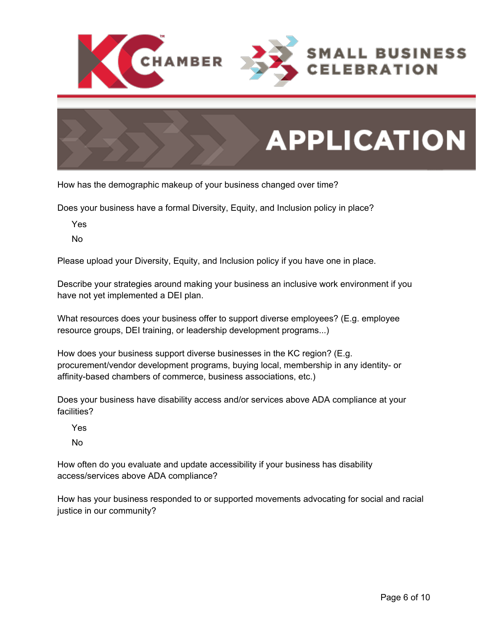



How has the demographic makeup of your business changed over time?

Does your business have a formal Diversity, Equity, and Inclusion policy in place?

Yes

No

Please upload your Diversity, Equity, and Inclusion policy if you have one in place.

Describe your strategies around making your business an inclusive work environment if you have not yet implemented a DEI plan.

What resources does your business offer to support diverse employees? (E.g. employee resource groups, DEI training, or leadership development programs...)

How does your business support diverse businesses in the KC region? (E.g. procurement/vendor development programs, buying local, membership in any identity- or affinity-based chambers of commerce, business associations, etc.)

Does your business have disability access and/or services above ADA compliance at your facilities?

Yes

No

How often do you evaluate and update accessibility if your business has disability access/services above ADA compliance?

How has your business responded to or supported movements advocating for social and racial justice in our community?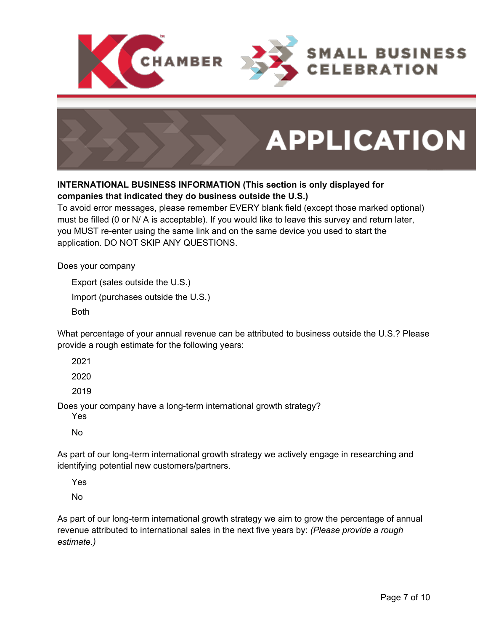



### **INTERNATIONAL BUSINESS INFORMATION (This section is only displayed for companies that indicated they do business outside the U.S.)**

To avoid error messages, please remember EVERY blank field (except those marked optional) must be filled (0 or N/ A is acceptable). If you would like to leave this survey and return later, you MUST re-enter using the same link and on the same device you used to start the application. DO NOT SKIP ANY QUESTIONS.

Does your company

Export (sales outside the U.S.) Import (purchases outside the U.S.) Both

What percentage of your annual revenue can be attributed to business outside the U.S.? Please provide a rough estimate for the following years:

2021

2020

2019

Does your company have a long-term international growth strategy?

Yes

No

As part of our long-term international growth strategy we actively engage in researching and identifying potential new customers/partners.

Yes

No

As part of our long-term international growth strategy we aim to grow the percentage of annual revenue attributed to international sales in the next five years by: *(Please provide a rough estimate.)*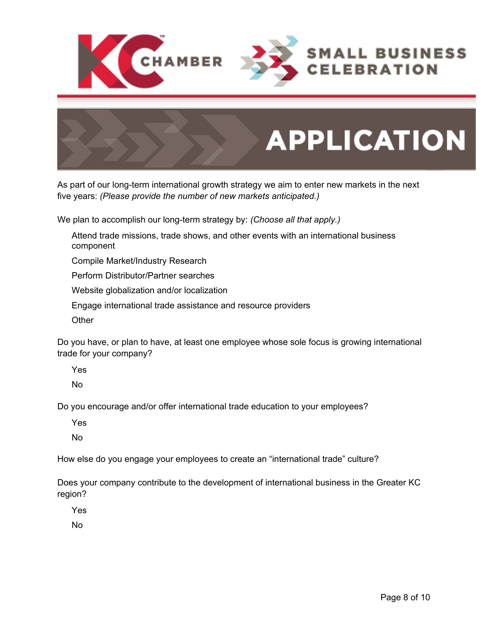



As part of our long-term international growth strategy we aim to enter new markets in the next five years: *(Please provide the number of new markets anticipated.)*

We plan to accomplish our long-term strategy by: *(Choose all that apply.)*

Attend trade missions, trade shows, and other events with an international business component

Compile Market/Industry Research

Perform Distributor/Partner searches

Website globalization and/or localization

Engage international trade assistance and resource providers

**Other** 

Do you have, or plan to have, at least one employee whose sole focus is growing international trade for your company?

Yes

No

Do you encourage and/or offer international trade education to your employees?

Yes

No

How else do you engage your employees to create an "international trade" culture?

Does your company contribute to the development of international business in the Greater KC region?

Yes

No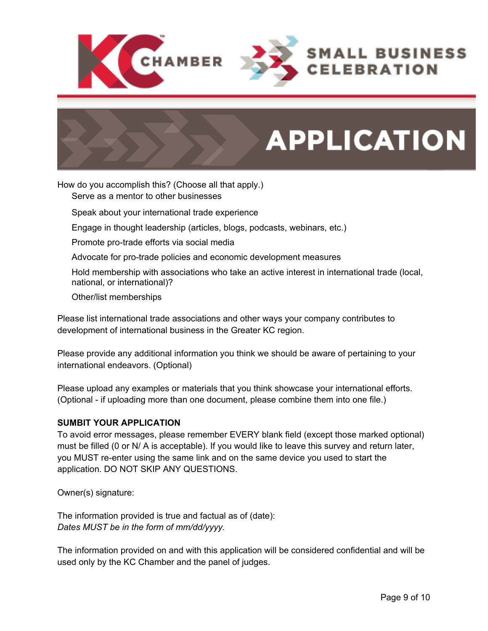

# **APPLICATION**

How do you accomplish this? (Choose all that apply.)

Serve as a mentor to other businesses

Speak about your international trade experience

Engage in thought leadership (articles, blogs, podcasts, webinars, etc.)

Promote pro-trade efforts via social media

Advocate for pro-trade policies and economic development measures

Hold membership with associations who take an active interest in international trade (local, national, or international)?

Other/list memberships

Please list international trade associations and other ways your company contributes to development of international business in the Greater KC region.

Please provide any additional information you think we should be aware of pertaining to your international endeavors. (Optional)

Please upload any examples or materials that you think showcase your international efforts. (Optional - if uploading more than one document, please combine them into one file.)

#### **SUMBIT YOUR APPLICATION**

To avoid error messages, please remember EVERY blank field (except those marked optional) must be filled (0 or N/ A is acceptable). If you would like to leave this survey and return later, you MUST re-enter using the same link and on the same device you used to start the application. DO NOT SKIP ANY QUESTIONS.

Owner(s) signature:

The information provided is true and factual as of (date): *Dates MUST be in the form of mm/dd/yyyy.*

The information provided on and with this application will be considered confidential and will be used only by the KC Chamber and the panel of judges.